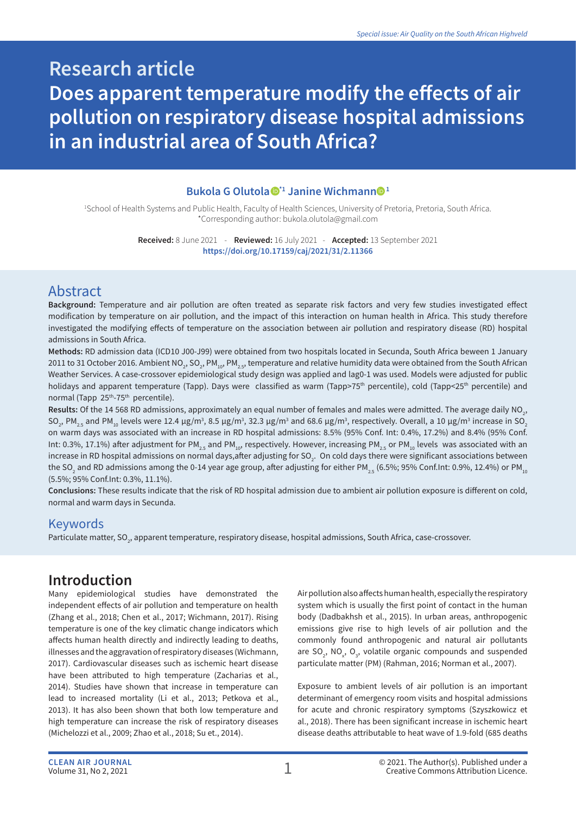# **Research article Does apparent temperature modify the effects of air pollution on respiratory disease hospital admissions in an industrial area of South Africa?**

#### **Bukola G Olutola \*1 Janine Wichmann 1**

1 School of Health Systems and Public Health, Faculty of Health Sciences, University of Pretoria, Pretoria, South Africa. \*Corresponding author: bukola.olutola@gmail.com

> **Received:** 8 June 2021 - **Reviewed:** 16 July 2021 - **Accepted:** 13 September 2021 **https://doi.org/10.17159/caj/2021/31/2.11366**

### Abstract

**Background:** Temperature and air pollution are often treated as separate risk factors and very few studies investigated effect modification by temperature on air pollution, and the impact of this interaction on human health in Africa. This study therefore investigated the modifying effects of temperature on the association between air pollution and respiratory disease (RD) hospital admissions in South Africa.

**Methods:** RD admission data (ICD10 J00-J99) were obtained from two hospitals located in Secunda, South Africa beween 1 January 2011 to 31 October 2016. Ambient NO<sub>2</sub>, SO<sub>2</sub>, PM<sub>10</sub>, PM<sub>2.5</sub>, temperature and relative humidity data were obtained from the South African Weather Services. A case-crossover epidemiological study design was applied and lag0-1 was used. Models were adjusted for public holidays and apparent temperature (Tapp). Days were classified as warm (Tapp>75<sup>th</sup> percentile), cold (Tapp<25<sup>th</sup> percentile) and normal (Tapp 25<sup>th</sup>-75<sup>th</sup> percentile).

**Results:** Of the 14 568 RD admissions, approximately an equal number of females and males were admitted. The average daily NO<sub>2</sub>, SO<sub>2</sub>, PM<sub>2.5</sub> and PM<sub>10</sub> levels were 12.4 μg/m<sup>3</sup>, 8.5 μg/m<sup>3</sup>, 32.3 μg/m<sup>3</sup> and 68.6 μg/m<sup>3</sup>, respectively. Overall, a 10 μg/m<sup>3</sup> increase in SO<sub>2</sub> on warm days was associated with an increase in RD hospital admissions: 8.5% (95% Conf. Int: 0.4%, 17.2%) and 8.4% (95% Conf. Int: 0.3%, 17.1%) after adjustment for PM<sub>2.5</sub> and PM<sub>10</sub>, respectively. However, increasing PM<sub>2.5</sub> or PM<sub>10</sub> levels was associated with an increase in RD hospital admissions on normal days,after adjusting for SO<sub>2</sub>. On cold days there were significant associations between the SO<sub>2</sub> and RD admissions among the 0-14 year age group, after adjusting for either PM $_{_{2.5}}$  (6.5%; 95% Conf.Int: 0.9%, 12.4%) or PM  $_{_{10}}$ (5.5%; 95% Conf.Int: 0.3%, 11.1%).

**Conclusions:** These results indicate that the risk of RD hospital admission due to ambient air pollution exposure is different on cold, normal and warm days in Secunda.

#### Keywords

Particulate matter, SO<sub>2</sub>, apparent temperature, respiratory disease, hospital admissions, South Africa, case-crossover.

### **Introduction**

Many epidemiological studies have demonstrated the independent effects of air pollution and temperature on health (Zhang et al., 2018; Chen et al., 2017; Wichmann, 2017). Rising temperature is one of the key climatic change indicators which affects human health directly and indirectly leading to deaths, illnesses and the aggravation of respiratory diseases (Wichmann, 2017). Cardiovascular diseases such as ischemic heart disease have been attributed to high temperature (Zacharias et al., 2014). Studies have shown that increase in temperature can lead to increased mortality (Li et al., 2013; Petkova et al., 2013). It has also been shown that both low temperature and high temperature can increase the risk of respiratory diseases (Michelozzi et al., 2009; Zhao et al., 2018; Su et., 2014).

Air pollution also affects human health, especially the respiratory system which is usually the first point of contact in the human body (Dadbakhsh et al., 2015). In urban areas, anthropogenic emissions give rise to high levels of air pollution and the commonly found anthropogenic and natural air pollutants are  $SO_2$ , NO<sub>x</sub>, O<sub>3</sub>, volatile organic compounds and suspended particulate matter (PM) (Rahman, 2016; Norman et al., 2007).

Exposure to ambient levels of air pollution is an important determinant of emergency room visits and hospital admissions for acute and chronic respiratory symptoms (Szyszkowicz et al., 2018). There has been significant increase in ischemic heart disease deaths attributable to heat wave of 1.9-fold (685 deaths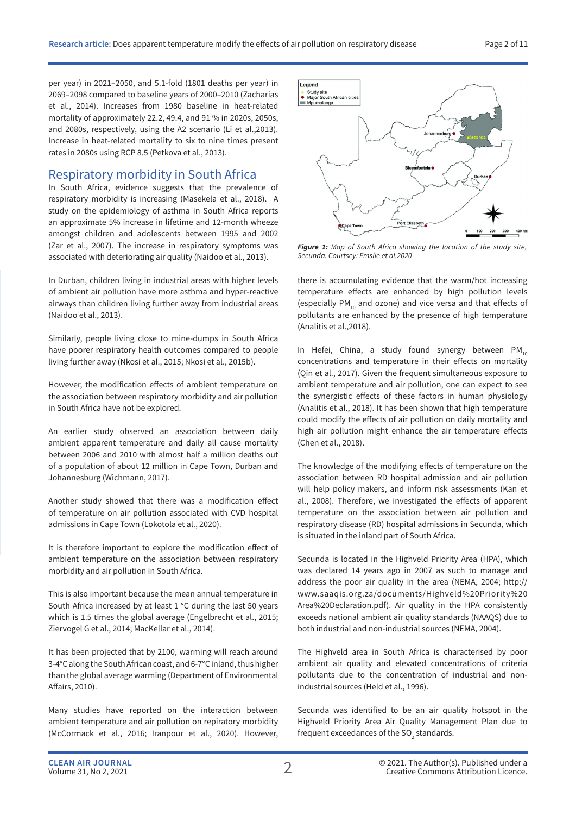per year) in 2021–2050, and 5.1-fold (1801 deaths per year) in 2069–2098 compared to baseline years of 2000–2010 (Zacharias et al., 2014). Increases from 1980 baseline in heat-related mortality of approximately 22.2, 49.4, and 91 % in 2020s, 2050s, and 2080s, respectively, using the A2 scenario (Li et al.,2013). Increase in heat-related mortality to six to nine times present rates in 2080s using RCP 8.5 (Petkova et al., 2013).

#### Respiratory morbidity in South Africa

In South Africa, evidence suggests that the prevalence of respiratory morbidity is increasing (Masekela et al., 2018). A study on the epidemiology of asthma in South Africa reports an approximate 5% increase in lifetime and 12-month wheeze amongst children and adolescents between 1995 and 2002 (Zar et al., 2007). The increase in respiratory symptoms was associated with deteriorating air quality (Naidoo et al., 2013).

In Durban, children living in industrial areas with higher levels of ambient air pollution have more asthma and hyper-reactive airways than children living further away from industrial areas (Naidoo et al., 2013).

Similarly, people living close to mine-dumps in South Africa have poorer respiratory health outcomes compared to people living further away (Nkosi et al., 2015; Nkosi et al., 2015b).

However, the modification effects of ambient temperature on the association between respiratory morbidity and air pollution in South Africa have not be explored.

An earlier study observed an association between daily ambient apparent temperature and daily all cause mortality between 2006 and 2010 with almost half a million deaths out of a population of about 12 million in Cape Town, Durban and Johannesburg (Wichmann, 2017).

Another study showed that there was a modification effect of temperature on air pollution associated with CVD hospital admissions in Cape Town (Lokotola et al., 2020).

It is therefore important to explore the modification effect of ambient temperature on the association between respiratory morbidity and air pollution in South Africa.

This is also important because the mean annual temperature in South Africa increased by at least 1 °C during the last 50 years which is 1.5 times the global average (Engelbrecht et al., 2015; Ziervogel G et al., 2014; MacKellar et al., 2014).

It has been projected that by 2100, warming will reach around 3-4°C along the South African coast, and 6-7°C inland, thus higher than the global average warming (Department of Environmental Affairs, 2010).

Many studies have reported on the interaction between ambient temperature and air pollution on repiratory morbidity (McCormack et al., 2016; Iranpour et al., 2020). However,



*Figure 1: Map of South Africa showing the location of the study site, Secunda. Courtsey: Emslie et al.2020*

there is accumulating evidence that the warm/hot increasing temperature effects are enhanced by high pollution levels (especially PM<sub>10</sub> and ozone) and vice versa and that effects of pollutants are enhanced by the presence of high temperature (Analitis et al.,2018).

In Hefei, China, a study found synergy between  $PM_{10}$ concentrations and temperature in their effects on mortality (Qin et al., 2017). Given the frequent simultaneous exposure to ambient temperature and air pollution, one can expect to see the synergistic effects of these factors in human physiology (Analitis et al., 2018). It has been shown that high temperature could modify the effects of air pollution on daily mortality and high air pollution might enhance the air temperature effects (Chen et al., 2018).

The knowledge of the modifying effects of temperature on the association between RD hospital admission and air pollution will help policy makers, and inform risk assessments (Kan et al., 2008). Therefore, we investigated the effects of apparent temperature on the association between air pollution and respiratory disease (RD) hospital admissions in Secunda, which is situated in the inland part of South Africa.

Secunda is located in the Highveld Priority Area (HPA), which was declared 14 years ago in 2007 as such to manage and address the poor air quality in the area (NEMA, 2004; http:// www.saaqis.org.za/documents/Highveld%20Priority%20 Area%20Declaration.pdf). Air quality in the HPA consistently exceeds national ambient air quality standards (NAAQS) due to both industrial and non-industrial sources (NEMA, 2004).

The Highveld area in South Africa is characterised by poor ambient air quality and elevated concentrations of criteria pollutants due to the concentration of industrial and nonindustrial sources (Held et al., 1996).

Secunda was identified to be an air quality hotspot in the Highveld Priority Area Air Quality Management Plan due to frequent exceedances of the SO<sub>2</sub> standards.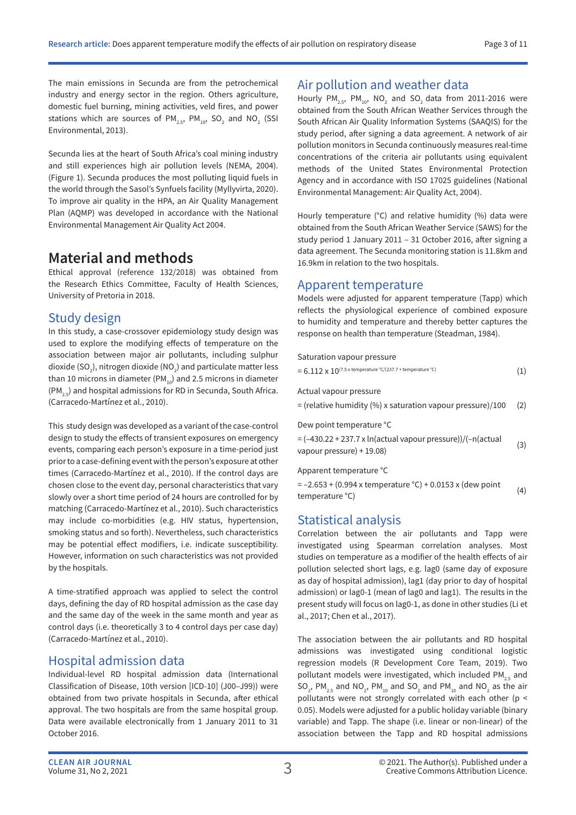The main emissions in Secunda are from the petrochemical industry and energy sector in the region. Others agriculture, domestic fuel burning, mining activities, veld fires, and power stations which are sources of PM $_{\textrm{\tiny{2.5}}}$ , PM $_{\textrm{\tiny{10}}}$ , SO $_{\textrm{\tiny{2}}}$  and NO $_{\textrm{\tiny{2}}}$  (SSI Environmental, 2013).

Secunda lies at the heart of South Africa's coal mining industry and still experiences high air pollution levels (NEMA, 2004). (Figure 1). Secunda produces the most polluting liquid fuels in the world through the Sasol's Synfuels facility (Myllyvirta, 2020). To improve air quality in the HPA, an Air Quality Management Plan (AQMP) was developed in accordance with the National Environmental Management Air Quality Act 2004.

### **Material and methods**

Ethical approval (reference 132/2018) was obtained from the Research Ethics Committee, Faculty of Health Sciences, University of Pretoria in 2018.

### Study design

In this study, a case-crossover epidemiology study design was used to explore the modifying effects of temperature on the association between major air pollutants, including sulphur dioxide (SO $_{\textrm{\tiny{2}}}$ ), nitrogen dioxide (NO $_{\textrm{\tiny{2}}}$ ) and particulate matter less than 10 microns in diameter (PM $_{10}$ ) and 2.5 microns in diameter  $(PM_{2.5})$  and hospital admissions for RD in Secunda, South Africa. (Carracedo-Martínez et al., 2010).

This study design was developed as a variant of the case-control design to study the effects of transient exposures on emergency events, comparing each person's exposure in a time-period just prior to a case-defining event with the person's exposure at other times (Carracedo-Martínez et al., 2010). If the control days are chosen close to the event day, personal characteristics that vary slowly over a short time period of 24 hours are controlled for by matching (Carracedo-Martínez et al., 2010). Such characteristics may include co-morbidities (e.g. HIV status, hypertension, smoking status and so forth). Nevertheless, such characteristics may be potential effect modifiers, i.e. indicate susceptibility. However, information on such characteristics was not provided by the hospitals.

A time-stratified approach was applied to select the control days, defining the day of RD hospital admission as the case day and the same day of the week in the same month and year as control days (i.e. theoretically 3 to 4 control days per case day) (Carracedo-Martínez et al., 2010).

### Hospital admission data

Individual-level RD hospital admission data (International Classification of Disease, 10th version [ICD-10] (J00–J99)) were obtained from two private hospitals in Secunda, after ethical approval. The two hospitals are from the same hospital group. Data were available electronically from 1 January 2011 to 31 October 2016.

### Air pollution and weather data

Hourly  $PM_{2.5}$ ,  $PM_{10}$ , NO<sub>2</sub> and SO<sub>2</sub> data from 2011-2016 were obtained from the South African Weather Services through the South African Air Quality Information Systems (SAAQIS) for the study period, after signing a data agreement. A network of air pollution monitors in Secunda continuously measures real-time concentrations of the criteria air pollutants using equivalent methods of the United States Environmental Protection Agency and in accordance with ISO 17025 guidelines (National Environmental Management: Air Quality Act, 2004).

Hourly temperature (°C) and relative humidity (%) data were obtained from the South African Weather Service (SAWS) for the study period 1 January 2011 – 31 October 2016, after signing a data agreement. The Secunda monitoring station is 11.8km and 16.9km in relation to the two hospitals.

#### Apparent temperature

Models were adjusted for apparent temperature (Tapp) which reflects the physiological experience of combined exposure to humidity and temperature and thereby better captures the response on health than temperature (Steadman, 1984).

#### Saturation vapour pressure

| $=6.112\times10^{(7.5\times$ temperature °C/(237.7 + temperature °C) |  |
|----------------------------------------------------------------------|--|
|                                                                      |  |

Actual vapour pressure

= (relative humidity (%) x saturation vapour pressure)/100 (2)

Dew point temperature °C

 $=$   $(-430.22 + 237.7 \times \ln(\text{actual vapour pressure})) / (-n(\text{actual})$ - (-430.22 + 237.7 x in actual vapour pressure))/(-in actual (3)<br>vapour pressure) + 19.08)

Apparent temperature °C

 $= -2.653 + (0.994 \times$  temperature °C) + 0.0153 x (dew point  $t = -2.033$  (0.334 x temperature  $C_1$  + 0.0133 x (dew point  $(4)$ )<br>temperature °C)

### Statistical analysis

Correlation between the air pollutants and Tapp were investigated using Spearman correlation analyses. Most studies on temperature as a modifier of the health effects of air pollution selected short lags, e.g. lag0 (same day of exposure as day of hospital admission), lag1 (day prior to day of hospital admission) or lag0-1 (mean of lag0 and lag1). The results in the present study will focus on lag0-1, as done in other studies (Li et al., 2017; Chen et al., 2017).

The association between the air pollutants and RD hospital admissions was investigated using conditional logistic regression models (R Development Core Team, 2019). Two pollutant models were investigated, which included  $PM_{25}$  and SO<sub>2</sub>, PM<sub>2.5</sub> and NO<sub>2</sub>, PM<sub>10</sub> and SO<sub>2</sub> and PM<sub>10</sub> and NO<sub>2</sub> as the air pollutants were not strongly correlated with each other (p < 0.05). Models were adjusted for a public holiday variable (binary variable) and Tapp. The shape (i.e. linear or non-linear) of the association between the Tapp and RD hospital admissions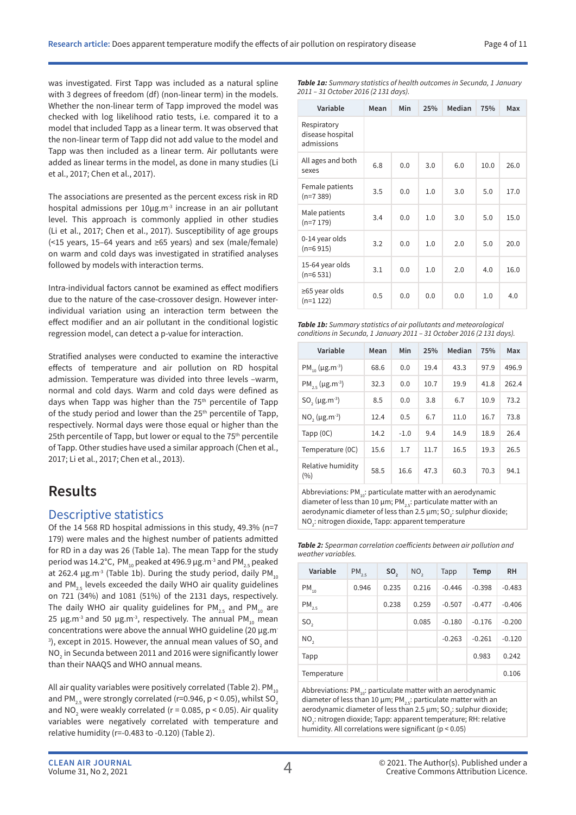was investigated. First Tapp was included as a natural spline with 3 degrees of freedom (df) (non-linear term) in the models. Whether the non-linear term of Tapp improved the model was checked with log likelihood ratio tests, i.e. compared it to a model that included Tapp as a linear term. It was observed that the non-linear term of Tapp did not add value to the model and Tapp was then included as a linear term. Air pollutants were added as linear terms in the model, as done in many studies (Li et al., 2017; Chen et al., 2017).

The associations are presented as the percent excess risk in RD hospital admissions per 10µg.m<sup>3</sup> increase in an air pollutant level. This approach is commonly applied in other studies (Li et al., 2017; Chen et al., 2017). Susceptibility of age groups (<15 years, 15–64 years and ≥65 years) and sex (male/female) on warm and cold days was investigated in stratified analyses followed by models with interaction terms.

Intra-individual factors cannot be examined as effect modifiers due to the nature of the case-crossover design. However interindividual variation using an interaction term between the effect modifier and an air pollutant in the conditional logistic regression model, can detect a p-value for interaction.

Stratified analyses were conducted to examine the interactive effects of temperature and air pollution on RD hospital admission. Temperature was divided into three levels –warm, normal and cold days. Warm and cold days were defined as days when Tapp was higher than the 75<sup>th</sup> percentile of Tapp of the study period and lower than the 25<sup>th</sup> percentile of Tapp, respectively. Normal days were those equal or higher than the 25th percentile of Tapp, but lower or equal to the 75<sup>th</sup> percentile of Tapp. Other studies have used a similar approach (Chen et al., 2017; Li et al., 2017; Chen et al., 2013).

## **Results**

### Descriptive statistics

Of the 14 568 RD hospital admissions in this study, 49.3% (n=7 179) were males and the highest number of patients admitted for RD in a day was 26 (Table 1a). The mean Tapp for the study period was 14.2°C, PM<sub>10</sub> peaked at 496.9 µg.m<sup>-3</sup> and PM<sub>2.5</sub> peaked at 262.4  $\mu$ g.m<sup>-3</sup> (Table 1b). During the study period, daily PM<sub>10</sub> and PM $_{2.5}$  levels exceeded the daily WHO air quality guidelines on 721 (34%) and 1081 (51%) of the 2131 days, respectively. The daily WHO air quality guidelines for  $PM_{2.5}$  and PM<sub>10</sub> are 25 µg.m<sup>-3</sup> and 50 µg.m<sup>-3</sup>, respectively. The annual PM<sub>10</sub> mean concentrations were above the annual WHO guideline (20  $\mu$ g.m- $^3$ ), except in 2015. However, the annual mean values of SO $_2^{\,}$  and NO $_2$  in Secunda between 2011 and 2016 were significantly lower than their NAAQS and WHO annual means.

All air quality variables were positively correlated (Table 2).  $PM_{10}$ and PM<sub>2.5</sub> were strongly correlated (r=0.946, p < 0.05), whilst SO<sub>2</sub> and NO<sub>2</sub> were weakly correlated (r = 0.085, p < 0.05). Air quality variables were negatively correlated with temperature and relative humidity (r=-0.483 to -0.120) (Table 2).

*Table 1a: Summary statistics of health outcomes in Secunda, 1 January 2011 – 31 October 2016 (2 131 days).*

| Variable                                      | Mean | Min | 25% | Median | 75%  | Max  |
|-----------------------------------------------|------|-----|-----|--------|------|------|
| Respiratory<br>disease hospital<br>admissions |      |     |     |        |      |      |
| All ages and both<br>sexes                    | 6.8  | 0.0 | 3.0 | 6.0    | 10.0 | 26.0 |
| Female patients<br>$(n=7389)$                 | 3.5  | 0.0 | 1.0 | 3.0    | 5.0  | 17.0 |
| Male patients<br>$(n=7179)$                   | 3.4  | 0.0 | 1.0 | 3.0    | 5.0  | 15.0 |
| 0-14 year olds<br>$(n=6915)$                  | 3.2  | 0.0 | 1.0 | 2.0    | 5.0  | 20.0 |
| 15-64 year olds<br>$(n=6531)$                 | 3.1  | 0.0 | 1.0 | 2.0    | 4.0  | 16.0 |
| ≥65 year olds<br>$(n=1 122)$                  | 0.5  | 0.0 | 0.0 | 0.0    | 1.0  | 4.0  |

*Table 1b: Summary statistics of air pollutants and meteorological conditions in Secunda, 1 January 2011 – 31 October 2016 (2 131 days).* 

| Variable                                    | Mean | Min    | 25%  | Median | 75%  | Max   |
|---------------------------------------------|------|--------|------|--------|------|-------|
| $PM_{10}$ (µg.m <sup>-3</sup> )             | 68.6 | 0.0    | 19.4 | 43.3   | 97.9 | 496.9 |
| $PM_{25}$ (µg.m <sup>-3</sup> )             | 32.3 | 0.0    | 10.7 | 19.9   | 41.8 | 262.4 |
| SO <sub>2</sub> ( $\mu$ g.m <sup>-3</sup> ) | 8.5  | 0.0    | 3.8  | 6.7    | 10.9 | 73.2  |
| $NO, (\mu g.m^{-3})$                        | 12.4 | 0.5    | 6.7  | 11.0   | 16.7 | 73.8  |
| Tapp $(0C)$                                 | 14.2 | $-1.0$ | 9.4  | 14.9   | 18.9 | 26.4  |
| Temperature (0C)                            | 15.6 | 1.7    | 11.7 | 16.5   | 19.3 | 26.5  |
| Relative humidity<br>(9/6)                  | 58.5 | 16.6   | 47.3 | 60.3   | 70.3 | 94.1  |

Abbreviations:  $PM_{10}$ : particulate matter with an aerodynamic diameter of less than 10  $\mu$ m; PM<sub>2.5</sub>: particulate matter with an aerodynamic diameter of less than 2.5  $\mu$ m; SO<sub>2</sub>: sulphur dioxide; NO<sub>2</sub>: nitrogen dioxide, Tapp: apparent temperature

*Table 2: Spearman correlation coefficients between air pollution and weather variables.*

| Variable        | $PM_{2.5}$ | SO <sub>2</sub> | NO <sub>2</sub> | Tapp     | <b>Temp</b> | <b>RH</b> |
|-----------------|------------|-----------------|-----------------|----------|-------------|-----------|
| $PM_{10}$       | 0.946      | 0.235           | 0.216           | $-0.446$ | $-0.398$    | $-0.483$  |
| $PM_{2.5}$      |            | 0.238           | 0.259           | $-0.507$ | $-0.477$    | $-0.406$  |
| SO <sub>2</sub> |            |                 | 0.085           | $-0.180$ | $-0.176$    | $-0.200$  |
| NO <sub>2</sub> |            |                 |                 | $-0.263$ | $-0.261$    | $-0.120$  |
| Tapp            |            |                 |                 |          | 0.983       | 0.242     |
| Temperature     |            |                 |                 |          |             | 0.106     |

Abbreviations:  $PM_{10}$ : particulate matter with an aerodynamic diameter of less than 10  $\mu$ m; PM<sub>25</sub>: particulate matter with an aerodynamic diameter of less than 2.5  $\mu$ m; SO<sub>2</sub>: sulphur dioxide; NO<sub>2</sub>: nitrogen dioxide; Tapp: apparent temperature; RH: relative humidity. All correlations were significant (p < 0.05)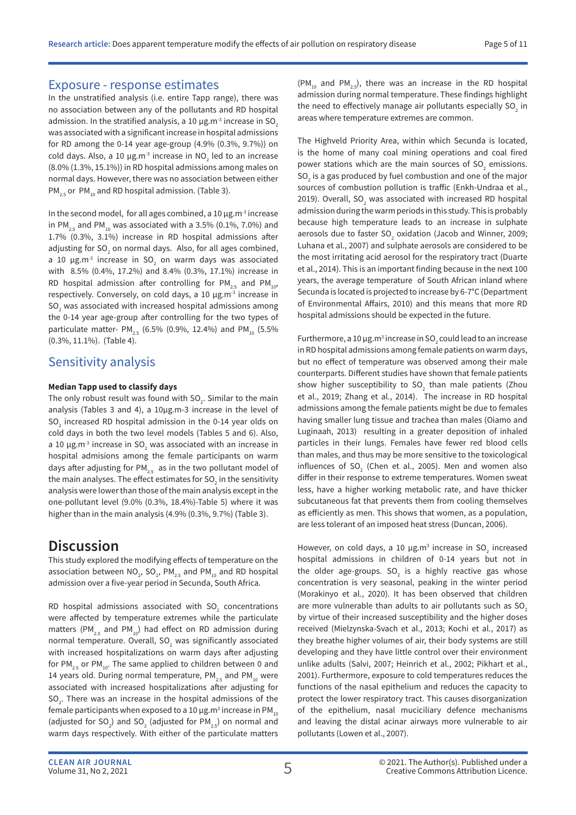#### Exposure - response estimates

In the unstratified analysis (i.e. entire Tapp range), there was no association between any of the pollutants and RD hospital admission. In the stratified analysis, a 10  $\mu$ g.m<sup>-3</sup> increase in SO<sub>2</sub> was associated with a significant increase in hospital admissions for RD among the 0-14 year age-group (4.9% (0.3%, 9.7%)) on cold days. Also, a 10  $\mu$ g.m<sup>-3</sup> increase in NO<sub>2</sub> led to an increase (8.0% (1.3%, 15.1%)) in RD hospital admissions among males on normal days. However, there was no association between either  $PM_{2.5}$  or PM<sub>10</sub> and RD hospital admission. (Table 3).

In the second model, for all ages combined, a 10  $\mu$ g.m<sup>-3</sup> increase in PM<sub>2.5</sub> and PM<sub>10</sub> was associated with a 3.5% (0.1%, 7.0%) and 1.7% (0.3%, 3.1%) increase in RD hospital admissions after adjusting for SO<sub>2</sub> on normal days. Also, for all ages combined, a 10  $\mu$ g.m $^3$  increase in SO<sub>2</sub> on warm days was associated with 8.5% (0.4%, 17.2%) and 8.4% (0.3%, 17.1%) increase in RD hospital admission after controlling for PM<sub>2.5</sub> and PM<sub>10</sub>, respectively. Conversely, on cold days, a 10 µg.m<sup>-3</sup> increase in SO<sub>2</sub> was associated with increased hospital admissions among the 0-14 year age-group after controlling for the two types of particulate matter-  $PM_{2.5}$  (6.5% (0.9%, 12.4%) and  $PM_{10}$  (5.5% (0.3%, 11.1%). (Table 4).

#### Sensitivity analysis

#### **Median Tapp used to classify days**

The only robust result was found with SO<sub>2</sub>. Similar to the main analysis (Tables 3 and 4), a 10µg.m-3 increase in the level of  $\mathsf{SO}_2$  increased RD hospital admission in the 0-14 year olds on cold days in both the two level models (Tables 5 and 6). Also, a 10  $\mu$ g.m<sup>-3</sup> increase in SO<sub>2</sub> was associated with an increase in hospital admisions among the female participants on warm days after adjusting for PM<sub>2.5</sub> as in the two pollutant model of the main analyses. The effect estimates for SO $_{_2}$  in the sensitivity analysis were lower than those of the main analysis except in the one-pollutant level (9.0% (0.3%, 18.4%)-Table 5) where it was higher than in the main analysis (4.9% (0.3%, 9.7%) (Table 3).

## **Discussion**

This study explored the modifying effects of temperature on the association between  $NO_2$ ,  $SO_2$ ,  $PM_{2.5}$  and  $PM_{10}$  and RD hospital admission over a five-year period in Secunda, South Africa.

RD hospital admissions associated with  ${SO_2}$  concentrations were affected by temperature extremes while the particulate matters (PM<sub>2.5</sub> and PM<sub>10</sub>) had effect on RD admission during normal temperature. Overall, SO<sub>2</sub> was significantly associated with increased hospitalizations on warm days after adjusting for PM<sub>2.5</sub> or PM<sub>10</sub>. The same applied to children between 0 and 14 years old. During normal temperature,  $PM_{2.5}$  and PM<sub>10</sub> were associated with increased hospitalizations after adjusting for  ${SO_2}$ . There was an increase in the hospital admissions of the female participants when exposed to a 10  $\mu$ g.m $^3$  increase in PM  $_{_{10}}$ (adjusted for SO<sub>2</sub>) and SO<sub>2</sub> (adjusted for PM<sub>2.5</sub>) on normal and warm days respectively. With either of the particulate matters

 $(PM_{10}$  and PM<sub>25</sub>), there was an increase in the RD hospital admission during normal temperature. These findings highlight the need to effectively manage air pollutants especially  $SO_2$  in areas where temperature extremes are common.

The Highveld Priority Area, within which Secunda is located, is the home of many coal mining operations and coal fired power stations which are the main sources of  $SO_2$  emissions.  $SO<sub>2</sub>$  is a gas produced by fuel combustion and one of the major sources of combustion pollution is traffic (Enkh-Undraa et al., 2019). Overall, SO<sub>2</sub> was associated with increased RD hospital admission during the warm periods in this study. This is probably because high temperature leads to an increase in sulphate aerosols due to faster  $SO_2$  oxidation (Jacob and Winner, 2009; Luhana et al., 2007) and sulphate aerosols are considered to be the most irritating acid aerosol for the respiratory tract (Duarte et al., 2014). This is an important finding because in the next 100 years, the average temperature of South African inland where Secunda is located is projected to increase by 6-7°C (Department of Environmental Affairs, 2010) and this means that more RD hospital admissions should be expected in the future.

Furthermore, a 10  $\mu$ g.m<sup>3</sup> increase in SO<sub>2</sub> could lead to an increase in RD hospital admissions among female patients on warm days, but no effect of temperature was observed among their male counterparts. Different studies have shown that female patients show higher susceptibility to  $SO_2$  than male patients (Zhou et al., 2019; Zhang et al., 2014). The increase in RD hospital admissions among the female patients might be due to females having smaller lung tissue and trachea than males (Oiamo and Luginaah, 2013) resulting in a greater deposition of inhaled particles in their lungs. Females have fewer red blood cells than males, and thus may be more sensitive to the toxicological influences of  $SO_2$  (Chen et al., 2005). Men and women also differ in their response to extreme temperatures. Women sweat less, have a higher working metabolic rate, and have thicker subcutaneous fat that prevents them from cooling themselves as efficiently as men. This shows that women, as a population, are less tolerant of an imposed heat stress (Duncan, 2006).

However, on cold days, a 10  $\mu$ g.m<sup>3</sup> increase in SO<sub>2</sub> increased hospital admissions in children of 0-14 years but not in the older age-groups. SO<sub>2</sub> is a highly reactive gas whose concentration is very seasonal, peaking in the winter period (Morakinyo et al., 2020). It has been observed that children are more vulnerable than adults to air pollutants such as SO<sub>2</sub> by virtue of their increased susceptibility and the higher doses received (Mielzynska-Svach et al., 2013; Kochi et al., 2017) as they breathe higher volumes of air, their body systems are still developing and they have little control over their environment unlike adults (Salvi, 2007; Heinrich et al., 2002; Pikhart et al., 2001). Furthermore, exposure to cold temperatures reduces the functions of the nasal epithelium and reduces the capacity to protect the lower respiratory tract. This causes disorganization of the epithelium, nasal muciciliary defence mechanisms and leaving the distal acinar airways more vulnerable to air pollutants (Lowen et al., 2007).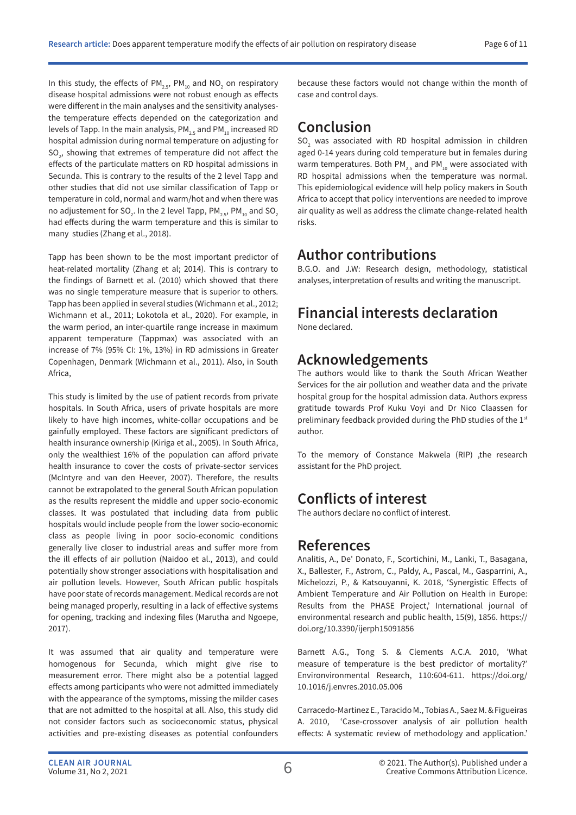In this study, the effects of PM<sub>2.5</sub>, PM<sub>10</sub> and NO<sub>2</sub> on respiratory disease hospital admissions were not robust enough as effects were different in the main analyses and the sensitivity analysesthe temperature effects depended on the categorization and levels of Tapp. In the main analysis,  $PM_{2.5}$  and  $PM_{10}$  increased RD hospital admission during normal temperature on adjusting for  ${SO_2}$ , showing that extremes of temperature did not affect the effects of the particulate matters on RD hospital admissions in Secunda. This is contrary to the results of the 2 level Tapp and other studies that did not use similar classification of Tapp or temperature in cold, normal and warm/hot and when there was no adjustement for SO<sub>2</sub>. In the 2 level Tapp, PM $_{\rm 2.5}$ , PM  $_{\rm 10}$  and SO $_{\rm 2}$ had effects during the warm temperature and this is similar to many studies (Zhang et al., 2018).

Tapp has been shown to be the most important predictor of heat-related mortality (Zhang et al; 2014). This is contrary to the findings of Barnett et al. (2010) which showed that there was no single temperature measure that is superior to others. Tapp has been applied in several studies (Wichmann et al., 2012; Wichmann et al., 2011; Lokotola et al., 2020). For example, in the warm period, an inter-quartile range increase in maximum apparent temperature (Tappmax) was associated with an increase of 7% (95% CI: 1%, 13%) in RD admissions in Greater Copenhagen, Denmark (Wichmann et al., 2011). Also, in South Africa,

This study is limited by the use of patient records from private hospitals. In South Africa, users of private hospitals are more likely to have high incomes, white-collar occupations and be gainfully employed. These factors are significant predictors of health insurance ownership (Kiriga et al., 2005). In South Africa, only the wealthiest 16% of the population can afford private health insurance to cover the costs of private-sector services (McIntyre and van den Heever, 2007). Therefore, the results cannot be extrapolated to the general South African population as the results represent the middle and upper socio-economic classes. It was postulated that including data from public hospitals would include people from the lower socio-economic class as people living in poor socio-economic conditions generally live closer to industrial areas and suffer more from the ill effects of air pollution (Naidoo et al., 2013), and could potentially show stronger associations with hospitalisation and air pollution levels. However, South African public hospitals have poor state of records management. Medical records are not being managed properly, resulting in a lack of effective systems for opening, tracking and indexing files (Marutha and Ngoepe, 2017).

It was assumed that air quality and temperature were homogenous for Secunda, which might give rise to measurement error. There might also be a potential lagged effects among participants who were not admitted immediately with the appearance of the symptoms, missing the milder cases that are not admitted to the hospital at all. Also, this study did not consider factors such as socioeconomic status, physical activities and pre-existing diseases as potential confounders because these factors would not change within the month of case and control days.

## **Conclusion**

 $SO<sub>2</sub>$  was associated with RD hospital admission in children aged 0-14 years during cold temperature but in females during warm temperatures. Both  $PM_{25}$  and  $PM_{10}$  were associated with RD hospital admissions when the temperature was normal. This epidemiological evidence will help policy makers in South Africa to accept that policy interventions are needed to improve air quality as well as address the climate change-related health risks.

### **Author contributions**

B.G.O. and J.W: Research design, methodology, statistical analyses, interpretation of results and writing the manuscript.

## **Financial interests declaration**

None declared.

## **Acknowledgements**

The authors would like to thank the South African Weather Services for the air pollution and weather data and the private hospital group for the hospital admission data. Authors express gratitude towards Prof Kuku Voyi and Dr Nico Claassen for preliminary feedback provided during the PhD studies of the 1st author.

To the memory of Constance Makwela (RIP) ,the research assistant for the PhD project.

## **Conflicts of interest**

The authors declare no conflict of interest.

### **References**

Analitis, A., De' Donato, F., Scortichini, M., Lanki, T., Basagana, X., Ballester, F., Astrom, C., Paldy, A., Pascal, M., Gasparrini, A., Michelozzi, P., & Katsouyanni, K. 2018, 'Synergistic Effects of Ambient Temperature and Air Pollution on Health in Europe: Results from the PHASE Project,' International journal of environmental research and public health, 15(9), 1856. https:// doi.org/10.3390/ijerph15091856

Barnett A.G., Tong S. & Clements A.C.A. 2010, 'What measure of temperature is the best predictor of mortality?' Environvironmental Research, 110:604-611. https://doi.org/ 10.1016/j.envres.2010.05.006

Carracedo-Martinez E., Taracido M., Tobias A., Saez M. & Figueiras A. 2010, 'Case-crossover analysis of air pollution health effects: A systematic review of methodology and application.'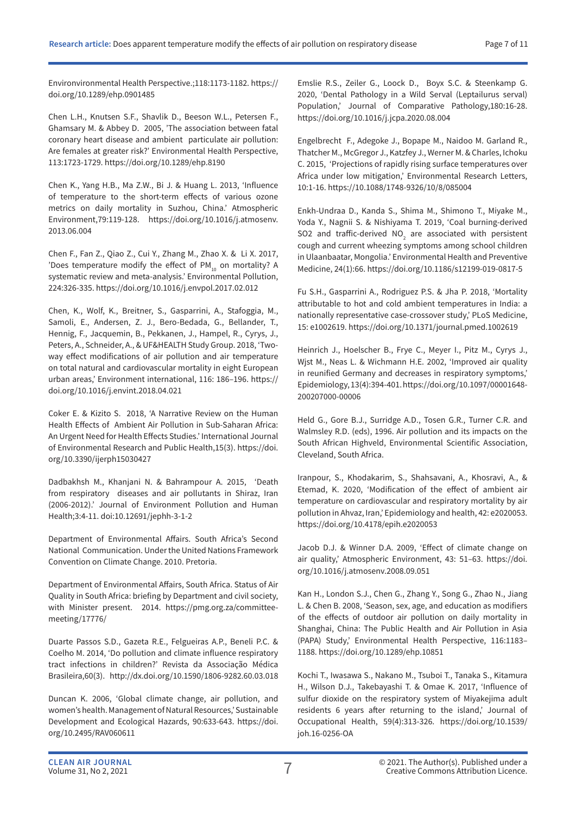Environvironmental Health Perspective.;118:1173-1182. https:// doi.org/10.1289/ehp.0901485

Chen L.H., Knutsen S.F., Shavlik D., Beeson W.L., Petersen F., Ghamsary M. & Abbey D. 2005, 'The association between fatal coronary heart disease and ambient particulate air pollution: Are females at greater risk?' Environmental Health Perspective, 113:1723-1729. https://doi.org/10.1289/ehp.8190

Chen K., Yang H.B., Ma Z.W., Bi J. & Huang L. 2013, 'Influence of temperature to the short-term effects of various ozone metrics on daily mortality in Suzhou, China.' Atmospheric Environment,79:119-128. https://doi.org/10.1016/j.atmosenv. 2013.06.004

Chen F., Fan Z., Qiao Z., Cui Y., Zhang M., Zhao X. & Li X. 2017, 'Does temperature modify the effect of  $PM_{10}$  on mortality? A systematic review and meta-analysis.' Environmental Pollution, 224:326-335. https://doi.org/10.1016/j.envpol.2017.02.012

Chen, K., Wolf, K., Breitner, S., Gasparrini, A., Stafoggia, M., Samoli, E., Andersen, Z. J., Bero-Bedada, G., Bellander, T., Hennig, F., Jacquemin, B., Pekkanen, J., Hampel, R., Cyrys, J., Peters, A., Schneider, A., & UF&HEALTH Study Group. 2018, 'Twoway effect modifications of air pollution and air temperature on total natural and cardiovascular mortality in eight European urban areas,' Environment international, 116: 186–196. https:// doi.org/10.1016/j.envint.2018.04.021

Coker E. & Kizito S. 2018, 'A Narrative Review on the Human Health Effects of Ambient Air Pollution in Sub-Saharan Africa: An Urgent Need for Health Effects Studies.' International Journal of Environmental Research and Public Health,15(3). https://doi. org/10.3390/ijerph15030427

Dadbakhsh M., Khanjani N. & Bahrampour A. 2015, 'Death from respiratory diseases and air pollutants in Shiraz, Iran (2006-2012).' Journal of Environment Pollution and Human Health;3:4-11. doi:10.12691/jephh-3-1-2

Department of Environmental Affairs. South Africa's Second National Communication. Under the United Nations Framework Convention on Climate Change. 2010. Pretoria.

Department of Environmental Affairs, South Africa. Status of Air Quality in South Africa: briefing by Department and civil society, with Minister present. 2014. https://pmg.org.za/committeemeeting/17776/

Duarte Passos S.D., Gazeta R.E., Felgueiras A.P., Beneli P.C. & Coelho M. 2014, 'Do pollution and climate influence respiratory tract infections in children?' Revista da Associação Médica Brasileira,60(3). http://dx.doi.org/10.1590/1806-9282.60.03.018

Duncan K. 2006, 'Global climate change, air pollution, and women's health. Management of Natural Resources,' Sustainable Development and Ecological Hazards, 90:633-643. https://doi. org/10.2495/RAV060611

Emslie R.S., Zeiler G., Loock D., Boyx S.C. & Steenkamp G. 2020, 'Dental Pathology in a Wild Serval (Leptailurus serval) Population,' Journal of Comparative Pathology,180:16-28. https://doi.org/10.1016/j.jcpa.2020.08.004

Engelbrecht F., Adegoke J., Bopape M., Naidoo M. Garland R., Thatcher M., McGregor J., Katzfey J., Werner M. & Charles, Ichoku C. 2015, 'Projections of rapidly rising surface temperatures over Africa under low mitigation,' Environmental Research Letters, 10:1-16. https://10.1088/1748-9326/10/8/085004

Enkh-Undraa D., Kanda S., Shima M., Shimono T., Miyake M., Yoda Y., Nagnii S. & Nishiyama T. 2019, 'Coal burning-derived SO2 and traffic-derived  $NO<sub>2</sub>$  are associated with persistent cough and current wheezing symptoms among school children in Ulaanbaatar, Mongolia.' Environmental Health and Preventive Medicine, 24(1):66. https://doi.org/10.1186/s12199-019-0817-5

Fu S.H., Gasparrini A., Rodriguez P.S. & Jha P. 2018, 'Mortality attributable to hot and cold ambient temperatures in India: a nationally representative case-crossover study,' PLoS Medicine, 15: e1002619. https://doi.org/10.1371/journal.pmed.1002619

Heinrich J., Hoelscher B., Frye C., Meyer I., Pitz M., Cyrys J., Wjst M., Neas L. & Wichmann H.E. 2002, 'Improved air quality in reunified Germany and decreases in respiratory symptoms,' Epidemiology, 13(4):394-401. https://doi.org/10.1097/00001648- 200207000-00006

Held G., Gore B.J., Surridge A.D., Tosen G.R., Turner C.R. and Walmsley R.D. (eds), 1996. Air pollution and its impacts on the South African Highveld, Environmental Scientific Association, Cleveland, South Africa.

Iranpour, S., Khodakarim, S., Shahsavani, A., Khosravi, A., & Etemad, K. 2020, 'Modification of the effect of ambient air temperature on cardiovascular and respiratory mortality by air pollution in Ahvaz, Iran,' Epidemiology and health, 42: e2020053. https://doi.org/10.4178/epih.e2020053

Jacob D.J. & Winner D.A. 2009, 'Effect of climate change on air quality,' Atmospheric Environment, 43: 51–63. https://doi. org/10.1016/j.atmosenv.2008.09.051

Kan H., London S.J., Chen G., Zhang Y., Song G., Zhao N., Jiang L. & Chen B. 2008, 'Season, sex, age, and education as modifiers of the effects of outdoor air pollution on daily mortality in Shanghai, China: The Public Health and Air Pollution in Asia (PAPA) Study,' Environmental Health Perspective, 116:1183– 1188. https://doi.org/10.1289/ehp.10851

Kochi T., Iwasawa S., Nakano M., Tsuboi T., Tanaka S., Kitamura H., Wilson D.J., Takebayashi T. & Omae K. 2017, 'Influence of sulfur dioxide on the respiratory system of Miyakejima adult residents 6 years after returning to the island,' Journal of Occupational Health, 59(4):313-326. https://doi.org/10.1539/ joh.16-0256-OA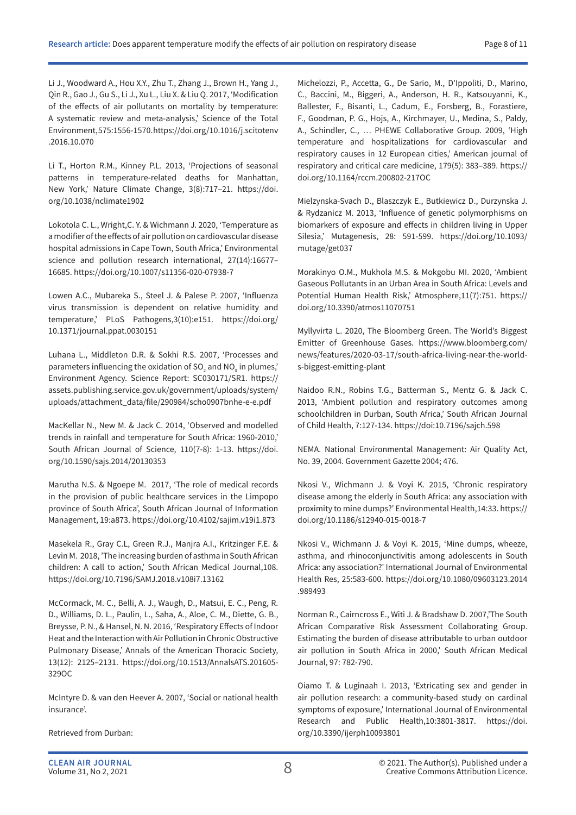Li J., Woodward A., Hou X.Y., Zhu T., Zhang J., Brown H., Yang J., Qin R., Gao J., Gu S., Li J., Xu L., Liu X. & Liu Q. 2017, 'Modification of the effects of air pollutants on mortality by temperature: A systematic review and meta-analysis,' Science of the Total Environment, 575:1556-1570. https://doi.org/10.1016/j.scitotenv .2016.10.070

Li T., Horton R.M., Kinney P.L. 2013, 'Projections of seasonal patterns in temperature-related deaths for Manhattan, New York,' Nature Climate Change, 3(8):717–21. https://doi. org/10.1038/nclimate1902

Lokotola C. L., Wright,C. Y. & Wichmann J. 2020, 'Temperature as a modifier of the effects of air pollution on cardiovascular disease hospital admissions in Cape Town, South Africa,' Environmental science and pollution research international, 27(14):16677– 16685. https://doi.org/10.1007/s11356-020-07938-7

Lowen A.C., Mubareka S., Steel J. & Palese P. 2007, 'Influenza virus transmission is dependent on relative humidity and temperature,' PLoS Pathogens,3(10):e151. https://doi.org/ 10.1371/journal.ppat.0030151

Luhana L., Middleton D.R. & Sokhi R.S. 2007, 'Processes and parameters influencing the oxidation of SO $_{\textrm{\tiny{2}}}$  and NO $_{\textrm{\tiny{N}}}$  in plumes,' Environment Agency. Science Report: SC030171/SR1. https:// assets.publishing.service.gov.uk/government/uploads/system/ uploads/attachment\_data/file/290984/scho0907bnhe-e-e.pdf

MacKellar N., New M. & Jack C. 2014, 'Observed and modelled trends in rainfall and temperature for South Africa: 1960-2010,' South African Journal of Science, 110(7-8): 1-13. https://doi. org/10.1590/sajs.2014/20130353

Marutha N.S. & Ngoepe M. 2017, 'The role of medical records in the provision of public healthcare services in the Limpopo province of South Africa', South African Journal of Information Management, 19:a873. https://doi.org/10.4102/sajim.v19i1.873

Masekela R., Gray C.L, Green R.J., Manjra A.I., Kritzinger F.E. & Levin M. 2018, 'The increasing burden of asthma in South African children: A call to action,' South African Medical Journal,108. https://doi.org/10.7196/SAMJ.2018.v108i7.13162

McCormack, M. C., Belli, A. J., Waugh, D., Matsui, E. C., Peng, R. D., Williams, D. L., Paulin, L., Saha, A., Aloe, C. M., Diette, G. B., Breysse, P. N., & Hansel, N. N. 2016, 'Respiratory Effects of Indoor Heat and the Interaction with Air Pollution in Chronic Obstructive Pulmonary Disease,' Annals of the American Thoracic Society, 13(12): 2125–2131. https://doi.org/10.1513/AnnalsATS.201605- 329OC

McIntyre D. & van den Heever A. 2007, 'Social or national health insurance'.

Retrieved from Durban:

Michelozzi, P., Accetta, G., De Sario, M., D'Ippoliti, D., Marino, C., Baccini, M., Biggeri, A., Anderson, H. R., Katsouyanni, K., Ballester, F., Bisanti, L., Cadum, E., Forsberg, B., Forastiere, F., Goodman, P. G., Hojs, A., Kirchmayer, U., Medina, S., Paldy, A., Schindler, C., … PHEWE Collaborative Group. 2009, 'High temperature and hospitalizations for cardiovascular and respiratory causes in 12 European cities,' American journal of respiratory and critical care medicine, 179(5): 383–389. https:// doi.org/10.1164/rccm.200802-217OC

Mielzynska-Svach D., Blaszczyk E., Butkiewicz D., Durzynska J. & Rydzanicz M. 2013, 'Influence of genetic polymorphisms on biomarkers of exposure and effects in children living in Upper Silesia,' Mutagenesis, 28: 591-599. https://doi.org/10.1093/ mutage/get037

Morakinyo O.M., Mukhola M.S. & Mokgobu MI. 2020, 'Ambient Gaseous Pollutants in an Urban Area in South Africa: Levels and Potential Human Health Risk,' Atmosphere,11(7):751. https:// doi.org/10.3390/atmos11070751

Myllyvirta L. 2020, The Bloomberg Green. The World's Biggest Emitter of Greenhouse Gases. https://www.bloomberg.com/ news/features/2020-03-17/south-africa-living-near-the-worlds-biggest-emitting-plant

Naidoo R.N., Robins T.G., Batterman S., Mentz G. & Jack C. 2013, 'Ambient pollution and respiratory outcomes among schoolchildren in Durban, South Africa,' South African Journal of Child Health, 7:127-134. https://doi:10.7196/sajch.598

NEMA. National Environmental Management: Air Quality Act, No. 39, 2004. Government Gazette 2004; 476.

Nkosi V., Wichmann J. & Voyi K. 2015, 'Chronic respiratory disease among the elderly in South Africa: any association with proximity to mine dumps?' Environmental Health,14:33. https:// doi.org/10.1186/s12940-015-0018-7

Nkosi V., Wichmann J. & Voyi K. 2015, 'Mine dumps, wheeze, asthma, and rhinoconjunctivitis among adolescents in South Africa: any association?' International Journal of Environmental Health Res, 25:583-600. https://doi.org/10.1080/09603123.2014 .989493

Norman R., Cairncross E., Witi J. & Bradshaw D. 2007,'The South African Comparative Risk Assessment Collaborating Group. Estimating the burden of disease attributable to urban outdoor air pollution in South Africa in 2000,' South African Medical Journal, 97: 782-790.

Oiamo T. & Luginaah I. 2013, 'Extricating sex and gender in air pollution research: a community-based study on cardinal symptoms of exposure,' International Journal of Environmental Research and Public Health,10:3801-3817. https://doi. org/10.3390/ijerph10093801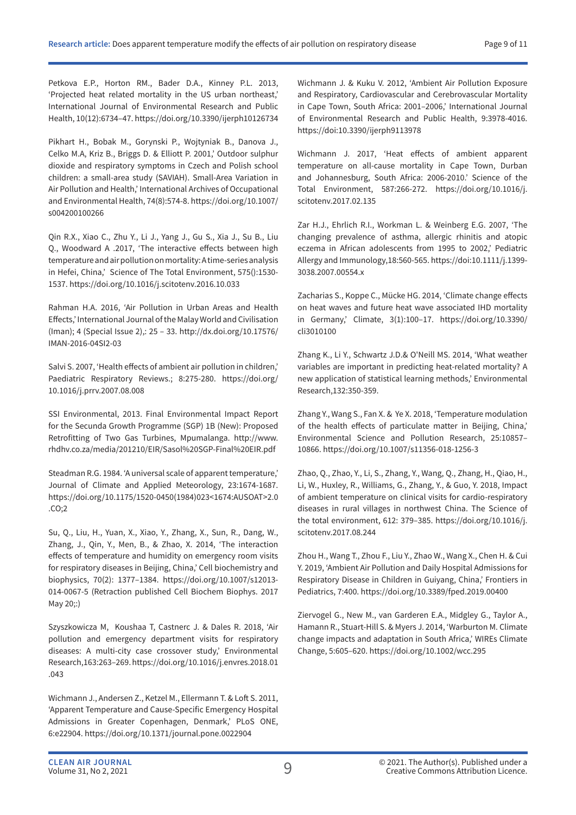Petkova E.P., Horton RM., Bader D.A., Kinney P.L. 2013, 'Projected heat related mortality in the US urban northeast,' International Journal of Environmental Research and Public Health, 10(12):6734–47. https://doi.org/10.3390/ijerph10126734

Pikhart H., Bobak M., Gorynski P., Wojtyniak B., Danova J., Celko M.A, Kriz B., Briggs D. & Elliott P. 2001,' Outdoor sulphur dioxide and respiratory symptoms in Czech and Polish school children: a small-area study (SAVIAH). Small-Area Variation in Air Pollution and Health,' International Archives of Occupational and Environmental Health, 74(8):574-8. https://doi.org/10.1007/ s004200100266

Qin R.X., Xiao C., Zhu Y., Li J., Yang J., Gu S., Xia J., Su B., Liu Q., Woodward A .2017, 'The interactive effects between high temperature and air pollution on mortality: A time-series analysis in Hefei, China,' Science of The Total Environment, 575():1530-1537. https://doi.org/10.1016/j.scitotenv.2016.10.033

Rahman H.A. 2016, 'Air Pollution in Urban Areas and Health Effects,' International Journal of the Malay World and Civilisation (Iman); 4 (Special Issue 2),: 25 – 33. http://dx.doi.org/10.17576/ IMAN-2016-04SI2-03

Salvi S. 2007, 'Health effects of ambient air pollution in children,' Paediatric Respiratory Reviews.; 8:275-280. https://doi.org/ 10.1016/j.prrv.2007.08.008

SSI Environmental, 2013. Final Environmental Impact Report for the Secunda Growth Programme (SGP) 1B (New): Proposed Retrofitting of Two Gas Turbines, Mpumalanga. http://www. rhdhv.co.za/media/201210/EIR/Sasol%20SGP-Final%20EIR.pdf

Steadman R.G. 1984. 'A universal scale of apparent temperature,' Journal of Climate and Applied Meteorology, 23:1674-1687. https://doi.org/10.1175/1520-0450(1984)023<1674:AUSOAT>2.0 .CO;2

Su, Q., Liu, H., Yuan, X., Xiao, Y., Zhang, X., Sun, R., Dang, W., Zhang, J., Qin, Y., Men, B., & Zhao, X. 2014, 'The interaction effects of temperature and humidity on emergency room visits for respiratory diseases in Beijing, China,' Cell biochemistry and biophysics, 70(2): 1377–1384. https://doi.org/10.1007/s12013- 014-0067-5 (Retraction published Cell Biochem Biophys. 2017 May 20;:)

Szyszkowicza M, Koushaa T, Castnerc J. & Dales R. 2018, 'Air pollution and emergency department visits for respiratory diseases: A multi-city case crossover study,' Environmental Research,163:263–269. https://doi.org/10.1016/j.envres.2018.01 .043

Wichmann J., Andersen Z., Ketzel M., Ellermann T. & Loft S. 2011, 'Apparent Temperature and Cause-Specific Emergency Hospital Admissions in Greater Copenhagen, Denmark,' PLoS ONE, 6:e22904. https://doi.org/10.1371/journal.pone.0022904

Wichmann J. & Kuku V. 2012, 'Ambient Air Pollution Exposure and Respiratory, Cardiovascular and Cerebrovascular Mortality in Cape Town, South Africa: 2001–2006,' International Journal of Environmental Research and Public Health, 9:3978-4016. https://doi:10.3390/ijerph9113978

Wichmann J. 2017, 'Heat effects of ambient apparent temperature on all-cause mortality in Cape Town, Durban and Johannesburg, South Africa: 2006-2010.' Science of the Total Environment, 587:266-272. https://doi.org/10.1016/j. scitotenv.2017.02.135

Zar H.J., Ehrlich R.I., Workman L. & Weinberg E.G. 2007, 'The changing prevalence of asthma, allergic rhinitis and atopic eczema in African adolescents from 1995 to 2002,' Pediatric Allergy and Immunology,18:560-565. https://doi:10.1111/j.1399- 3038.2007.00554.x

Zacharias S., Koppe C., Mücke HG. 2014, 'Climate change effects on heat waves and future heat wave associated IHD mortality in Germany,' Climate, 3(1):100–17. https://doi.org/10.3390/ cli3010100

Zhang K., Li Y., Schwartz J.D.& O'Neill MS. 2014, 'What weather variables are important in predicting heat-related mortality? A new application of statistical learning methods,' Environmental Research,132:350-359.

Zhang Y., Wang S., Fan X. & Ye X. 2018, 'Temperature modulation of the health effects of particulate matter in Beijing, China,' Environmental Science and Pollution Research, 25:10857– 10866. https://doi.org/10.1007/s11356-018-1256-3

Zhao, Q., Zhao, Y., Li, S., Zhang, Y., Wang, Q., Zhang, H., Qiao, H., Li, W., Huxley, R., Williams, G., Zhang, Y., & Guo, Y. 2018, Impact of ambient temperature on clinical visits for cardio-respiratory diseases in rural villages in northwest China. The Science of the total environment, 612: 379–385. https://doi.org/10.1016/j. scitotenv.2017.08.244

Zhou H., Wang T., Zhou F., Liu Y., Zhao W., Wang X., Chen H. & Cui Y. 2019, 'Ambient Air Pollution and Daily Hospital Admissions for Respiratory Disease in Children in Guiyang, China,' Frontiers in Pediatrics, 7:400. https://doi.org/10.3389/fped.2019.00400

Ziervogel G., New M., van Garderen E.A., Midgley G., Taylor A., Hamann R., Stuart-Hill S. & Myers J. 2014, 'Warburton M. Climate change impacts and adaptation in South Africa,' WIREs Climate Change, 5:605–620. https://doi.org/10.1002/wcc.295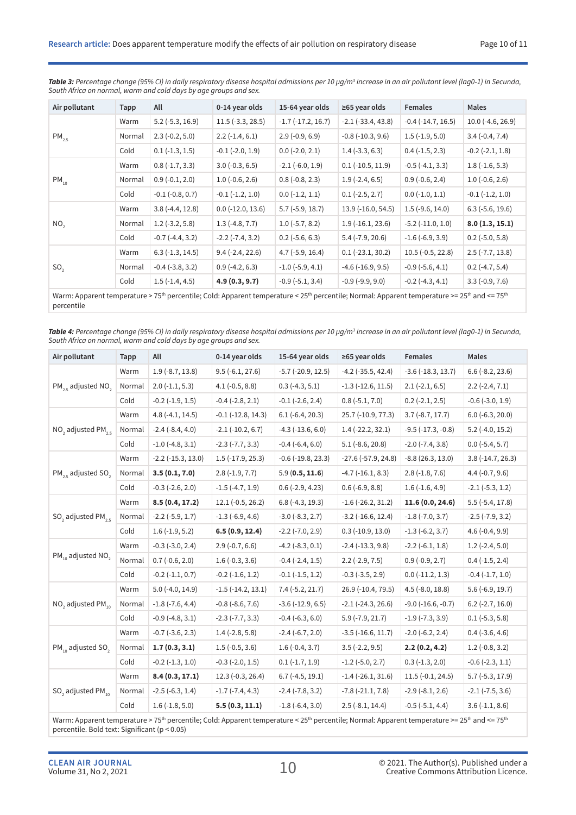| Air pollutant                                                                                                                                                                                              | Tapp   | All                    | 0-14 year olds             | 15-64 year olds          | $\geq 65$ year olds    | <b>Females</b>         | <b>Males</b>           |  |
|------------------------------------------------------------------------------------------------------------------------------------------------------------------------------------------------------------|--------|------------------------|----------------------------|--------------------------|------------------------|------------------------|------------------------|--|
|                                                                                                                                                                                                            | Warm   | $5.2$ ( $-5.3$ , 16.9) | $11.5$ (-3.3, 28.5)        | $-1.7$ $(-17.2, 16.7)$   | $-2.1$ $(-33.4, 43.8)$ | $-0.4$ $(-14.7, 16.5)$ | $10.0(-4.6, 26.9)$     |  |
| $PM_{2.5}$                                                                                                                                                                                                 | Normal | $2.3(-0.2, 5.0)$       | $2.2(-1.4, 6.1)$           | $2.9(-0.9, 6.9)$         | $-0.8$ $(-10.3, 9.6)$  | $1.5(-1.9, 5.0)$       | $3.4(-0.4, 7.4)$       |  |
|                                                                                                                                                                                                            | Cold   | $0.1(-1.3, 1.5)$       | $-0.1$ $(-2.0, 1.9)$       | $0.0$ (-2.0, 2.1)        | $1.4(-3.3, 6.3)$       | $0.4$ ( $-1.5$ , 2.3)  | $-0.2$ $(-2.1, 1.8)$   |  |
|                                                                                                                                                                                                            | Warm   | $0.8(-1.7, 3.3)$       | $3.0(-0.3, 6.5)$           | $-2.1(-6.0, 1.9)$        | $0.1 (-10.5, 11.9)$    | $-0.5(-4.1, 3.3)$      | $1.8(-1.6, 5.3)$       |  |
| $PM_{10}$                                                                                                                                                                                                  | Normal | $0.9(-0.1, 2.0)$       | $1.0(-0.6, 2.6)$           | $0.8(-0.8, 2.3)$         | $1.9(-2.4, 6.5)$       | $0.9(-0.6, 2.4)$       | $1.0(-0.6, 2.6)$       |  |
|                                                                                                                                                                                                            | Cold   | $-0.1$ $(-0.8, 0.7)$   | $-0.1$ $(-1.2, 1.0)$       | $0.0$ ( $-1.2$ , $1.1$ ) | $0.1 (-2.5, 2.7)$      | $0.0$ ( $-1.0, 1.1$ )  | $-0.1$ $(-1.2, 1.0)$   |  |
|                                                                                                                                                                                                            | Warm   | $3.8(-4.4, 12.8)$      | $0.0$ ( $-12.0$ , $13.6$ ) | $5.7(-5.9, 18.7)$        | 13.9 (-16.0, 54.5)     | $1.5$ (-9.6, 14.0)     | $6.3$ ( $-5.6$ , 19.6) |  |
| NO <sub>2</sub>                                                                                                                                                                                            | Normal | $1.2$ (-3.2, 5.8)      | $1.3(-4.8, 7.7)$           | $1.0(-5.7, 8.2)$         | $1.9(-16.1, 23.6)$     | $-5.2$ $(-11.0, 1.0)$  | 8.0(1.3, 15.1)         |  |
|                                                                                                                                                                                                            | Cold   | $-0.7$ $(-4.4, 3.2)$   | $-2.2$ ( $-7.4$ , 3.2)     | $0.2$ ( $-5.6, 6.3$ )    | $5.4(-7.9, 20.6)$      | $-1.6(-6.9, 3.9)$      | $0.2$ ( $-5.0, 5.8$ )  |  |
|                                                                                                                                                                                                            | Warm   | $6.3(-1.3, 14.5)$      | $9.4(-2.4, 22.6)$          | $4.7(-5.9, 16.4)$        | $0.1$ (-23.1, 30.2)    | $10.5(-0.5, 22.8)$     | $2.5(-7.7, 13.8)$      |  |
| SO <sub>2</sub>                                                                                                                                                                                            | Normal | $-0.4$ $(-3.8, 3.2)$   | $0.9(-4.2, 6.3)$           | $-1.0$ $(-5.9, 4.1)$     | $-4.6$ $(-16.9, 9.5)$  | $-0.9$ $(-5.6, 4.1)$   | $0.2(-4.7, 5.4)$       |  |
|                                                                                                                                                                                                            | Cold   | $1.5(-1.4, 4.5)$       | 4.9(0.3, 9.7)              | $-0.9$ $(-5.1, 3.4)$     | $-0.9(-9.9, 9.0)$      | $-0.2$ $(-4.3, 4.1)$   | $3.3(-0.9, 7.6)$       |  |
| Warm: Apparent temperature > 75 <sup>th</sup> percentile; Cold: Apparent temperature < 25 <sup>th</sup> percentile; Normal: Apparent temperature >= 25 <sup>th</sup> and <= 75 <sup>th</sup><br>percentile |        |                        |                            |                          |                        |                        |                        |  |

*Table 3: Percentage change (95% CI) in daily respiratory disease hospital admissions per 10 µg/m3 increase in an air pollutant level (lag0-1) in Secunda, South Africa on normal, warm and cold days by age groups and sex.*

*Table 4: Percentage change (95% CI) in daily respiratory disease hospital admissions per 10 µg/m3 increase in an air pollutant level (lag0-1) in Secunda, South Africa on normal, warm and cold days by age groups and sex.*

| Air pollutant                             | Tapp   | All                      | 0-14 year olds             | 15-64 year olds           | $\geq$ 65 year olds        | <b>Females</b>              | <b>Males</b>           |
|-------------------------------------------|--------|--------------------------|----------------------------|---------------------------|----------------------------|-----------------------------|------------------------|
|                                           | Warm   | $1.9(-8.7, 13.8)$        | $9.5(-6.1, 27.6)$          | $-5.7$ $(-20.9, 12.5)$    | $-4.2$ ( $-35.5, 42.4$ )   | $-3.6(-18.3, 13.7)$         | $6.6$ ( $-8.2$ , 23.6) |
| $PM_{25}$ adjusted NO <sub>2</sub>        | Normal | $2.0$ ( $-1.1, 5.3$ )    | $4.1(-0.5, 8.8)$           | $0.3(-4.3, 5.1)$          | $-1.3$ $(-12.6, 11.5)$     | $2.1(-2.1, 6.5)$            | $2.2(-2.4, 7.1)$       |
|                                           | Cold   | $-0.2$ $(-1.9, 1.5)$     | $-0.4$ $(-2.8, 2.1)$       | $-0.1$ $(-2.6, 2.4)$      | $0.8(-5.1, 7.0)$           | $0.2$ (-2.1, 2.5)           | $-0.6$ $(-3.0, 1.9)$   |
|                                           | Warm   | $4.8(-4.1, 14.5)$        | $-0.1$ $(-12.8, 14.3)$     | $6.1(-6.4, 20.3)$         | 25.7 (-10.9, 77.3)         | $3.7(-8.7, 17.7)$           | $6.0$ (-6.3, 20.0)     |
| NO <sub>2</sub> adjusted $PM_{25}$        | Normal | $-2.4(-8.4, 4.0)$        | $-2.1$ $(-10.2, 6.7)$      | $-4.3$ $(-13.6, 6.0)$     | $1.4$ (-22.2, 32.1)        | $-9.5$ ( $-17.3$ , $-0.8$ ) | $5.2$ (-4.0, 15.2)     |
|                                           | Cold   | $-1.0$ $(-4.8, 3.1)$     | $-2.3$ $(-7.7, 3.3)$       | $-0.4(-6.4, 6.0)$         | $5.1(-8.6, 20.8)$          | $-2.0$ $(-7.4, 3.8)$        | $0.0$ ( $-5.4$ , 5.7)  |
|                                           | Warm   | $-2.2$ ( $-15.3$ , 13.0) | $1.5$ ( $-17.9$ , $25.3$ ) | $-0.6$ ( $-19.8$ , 23.3)  | $-27.6$ $(-57.9, 24.8)$    | $-8.8(26.3, 13.0)$          | $3.8(-14.7, 26.3)$     |
| $PM_{25}$ adjusted SO <sub>2</sub>        | Normal | 3.5(0.1, 7.0)            | $2.8(-1.9, 7.7)$           | 5.9(0.5, 11.6)            | $-4.7$ $(-16.1, 8.3)$      | $2.8(-1.8, 7.6)$            | $4.4(-0.7, 9.6)$       |
|                                           | Cold   | $-0.3$ $(-2.6, 2.0)$     | $-1.5$ $(-4.7, 1.9)$       | $0.6$ (-2.9, 4.23)        | $0.6(-6.9, 8.8)$           | $1.6(-1.6, 4.9)$            | $-2.1(-5.3, 1.2)$      |
|                                           | Warm   | 8.5(0.4, 17.2)           | $12.1(-0.5, 26.2)$         | $6.8(-4.3, 19.3)$         | $-1.6$ ( $-26.2$ , 31.2)   | 11.6(0.0, 24.6)             | $5.5(-5.4, 17.8)$      |
| SO <sub>2</sub> adjusted PM <sub>25</sub> | Normal | $-2.2$ $(-5.9, 1.7)$     | $-1.3$ $(-6.9, 4.6)$       | $-3.0$ $(-8.3, 2.7)$      | $-3.2$ $(-16.6, 12.4)$     | $-1.8$ ( $-7.0$ , 3.7)      | $-2.5$ ( $-7.9$ , 3.2) |
|                                           | Cold   | $1.6(-1.9, 5.2)$         | 6.5(0.9, 12.4)             | $-2.2$ ( $-7.0$ , $2.9$ ) | $0.3$ ( $-10.9$ , $13.0$ ) | $-1.3(-6.2, 3.7)$           | $4.6(-0.4, 9.9)$       |
|                                           | Warm   | $-0.3$ $(-3.0, 2.4)$     | $2.9(-0.7, 6.6)$           | $-4.2$ $(-8.3, 0.1)$      | $-2.4$ $(-13.3, 9.8)$      | $-2.2$ ( $-6.1$ , 1.8)      | $1.2$ (-2.4, 5.0)      |
| PM <sub>10</sub> adjusted NO <sub>2</sub> | Normal | $0.7(-0.6, 2.0)$         | $1.6(-0.3, 3.6)$           | $-0.4$ $(-2.4, 1.5)$      | $2.2$ (-2.9, 7.5)          | $0.9(-0.9, 2.7)$            | $0.4$ ( $-1.5$ , 2.4)  |
|                                           | Cold   | $-0.2$ $(-1.1, 0.7)$     | $-0.2$ $(-1.6, 1.2)$       | $-0.1$ $(-1.5, 1.2)$      | $-0.3$ $(-3.5, 2.9)$       | $0.0$ (-11.2, 1.3)          | $-0.4$ $(-1.7, 1.0)$   |
|                                           | Warm   | $5.0(-4.0, 14.9)$        | $-1.5$ $(-14.2, 13.1)$     | $7.4(-5.2, 21.7)$         | 26.9 (-10.4, 79.5)         | $4.5$ (-8.0, 18.8)          | $5.6(-6.9, 19.7)$      |
| NO <sub>2</sub> adjusted PM <sub>10</sub> | Normal | $-1.8(-7.6, 4.4)$        | $-0.8$ $(-8.6, 7.6)$       | $-3.6$ $(-12.9, 6.5)$     | $-2.1$ $(-24.3, 26.6)$     | $-9.0$ $(-16.6, -0.7)$      | $6.2$ (-2.7, 16.0)     |
|                                           | Cold   | $-0.9$ $(-4.8, 3.1)$     | $-2.3$ $(-7.7, 3.3)$       | $-0.4$ $(-6.3, 6.0)$      | $5.9(-7.9, 21.7)$          | $-1.9(-7.3, 3.9)$           | $0.1$ ( $-5.3, 5.8$ )  |
|                                           | Warm   | $-0.7$ $(-3.6, 2.3)$     | $1.4$ (-2.8, 5.8)          | $-2.4(-6.7, 2.0)$         | $-3.5$ $(-16.6, 11.7)$     | $-2.0$ $(-6.2, 2.4)$        | $0.4$ ( $-3.6$ , 4.6)  |
| $PM_{10}$ adjusted SO <sub>2</sub>        | Normal | 1.7(0.3, 3.1)            | $1.5(-0.5, 3.6)$           | $1.6(-0.4, 3.7)$          | $3.5(-2.2, 9.5)$           | 2.2(0.2, 4.2)               | $1.2(-0.8, 3.2)$       |
|                                           | Cold   | $-0.2$ $(-1.3, 1.0)$     | $-0.3$ $(-2.0, 1.5)$       | $0.1(-1.7, 1.9)$          | $-1.2$ ( $-5.0$ , 2.7)     | $0.3(-1.3, 2.0)$            | $-0.6$ $(-2.3, 1.1)$   |
|                                           | Warm   | 8.4(0.3, 17.1)           | $12.3(-0.3, 26.4)$         | $6.7(-4.5, 19.1)$         | $-1.4$ $(-26.1, 31.6)$     | $11.5(-0.1, 24.5)$          | $5.7(-5.3, 17.9)$      |
| SO <sub>2</sub> adjusted PM <sub>10</sub> | Normal | $-2.5(-6.3, 1.4)$        | $-1.7$ $(-7.4, 4.3)$       | $-2.4$ $(-7.8, 3.2)$      | $-7.8(-21.1, 7.8)$         | $-2.9(-8.1, 2.6)$           | $-2.1$ ( $-7.5$ , 3.6) |
|                                           | Cold   | $1.6(-1.8, 5.0)$         | 5.5(0.3, 11.1)             | $-1.8(-6.4, 3.0)$         | $2.5(-8.1, 14.4)$          | $-0.5$ $(-5.1, 4.4)$        | $3.6(-1.1, 8.6)$       |

Warm: Apparent temperature > 75<sup>th</sup> percentile; Cold: Apparent temperature < 25<sup>th</sup> percentile; Normal: Apparent temperature >= 25<sup>th</sup> and <= 75<sup>th</sup> percentile. Bold text: Significant (p < 0.05)